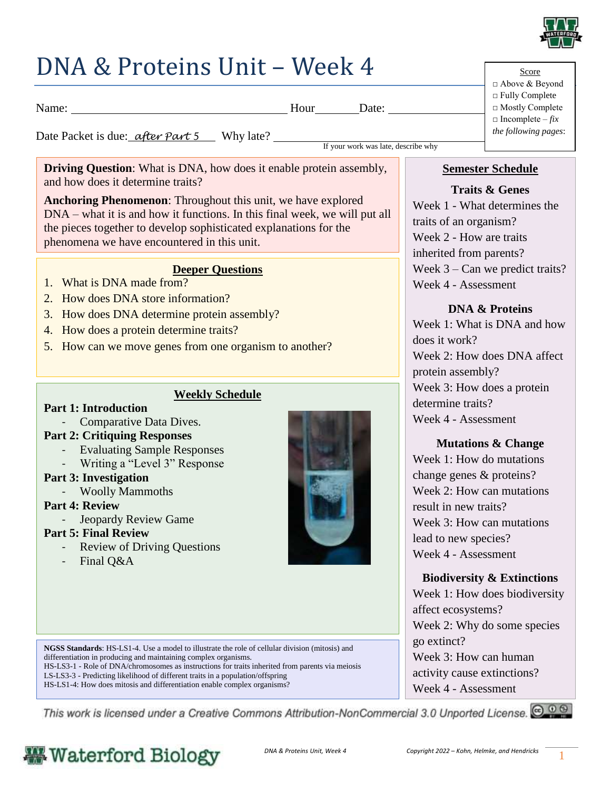

# DNA & Proteins Unit – Week 4

Score □ Above & Beyond □ Fully Complete □ Mostly Complete  $\Box$  Incomplete – *fix the following pages*:

Date Packet is due: *<u>after Part 5</u>* Why late?

If your work was late, describe why

**Driving Question**: What is DNA, how does it enable protein assembly, and how does it determine traits?

Name: Date: Date:

**Anchoring Phenomenon**: Throughout this unit, we have explored DNA – what it is and how it functions. In this final week, we will put all the pieces together to develop sophisticated explanations for the phenomena we have encountered in this unit.

### **Deeper Questions**

- 1. What is DNA made from?
- 2. How does DNA store information?
- 3. How does DNA determine protein assembly?
- 4. How does a protein determine traits?
- 5. How can we move genes from one organism to another?

### **Weekly Schedule**

#### **Part 1: Introduction**

- Comparative Data Dives.

### **Part 2: Critiquing Responses**

- Evaluating Sample Responses
- Writing a "Level 3" Response

### **Part 3: Investigation**

- Woolly Mammoths

### **Part 4: Review**

- Jeopardy Review Game

### **Part 5: Final Review**

- Review of Driving Questions
- Final Q&A



**NGSS Standards**: HS-LS1-4. Use a model to illustrate the role of cellular division (mitosis) and differentiation in producing and maintaining complex organisms.

HS-LS3-1 - Role of DNA/chromosomes as instructions for traits inherited from parents via meiosis

LS-LS3-3 - Predicting likelihood of different traits in a population/offspring

HS-LS1-4: How does mitosis and differentiation enable complex organisms?

This work is licensed under a Creative Commons Attribution-NonCommercial 3.0 Unported License. @ 0 0

# **Waterford Biology**



# **Semester Schedule**

**Traits & Genes** Week 1 - What determines the traits of an organism? Week 2 - How are traits inherited from parents? Week 3 – Can we predict traits? Week 4 - Assessment

# **DNA & Proteins**

Week 1: What is DNA and how does it work? Week 2: How does DNA affect protein assembly? Week 3: How does a protein determine traits? Week 4 - Assessment

# **Mutations & Change**

Week 1: How do mutations change genes & proteins? Week 2: How can mutations result in new traits? Week 3: How can mutations lead to new species? Week 4 - Assessment

# **Biodiversity & Extinctions**

Week 1: How does biodiversity affect ecosystems? Week 2: Why do some species go extinct? Week 3: How can human activity cause extinctions? Week 4 - Assessment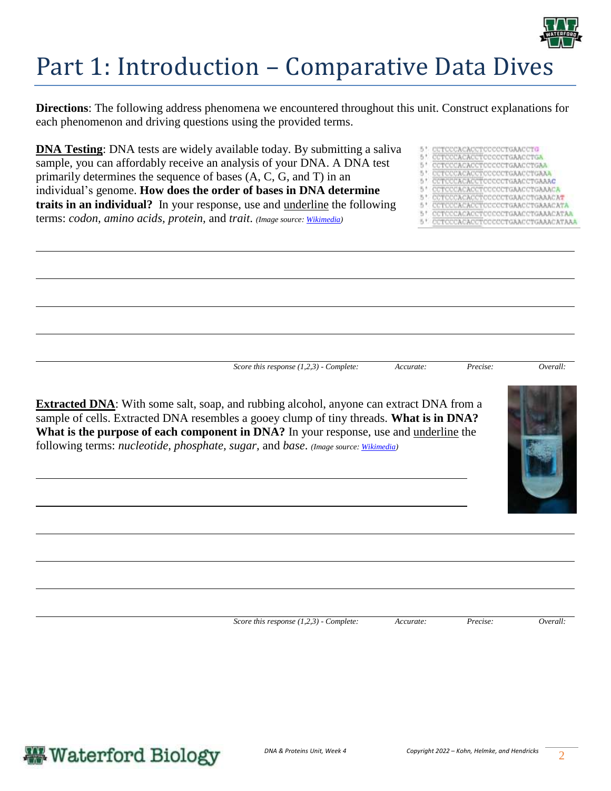

# Part 1: Introduction – Comparative Data Dives

**Directions**: The following address phenomena we encountered throughout this unit. Construct explanations for each phenomenon and driving questions using the provided terms.

**DNA Testing**: DNA tests are widely available today. By submitting a saliva sample, you can affordably receive an analysis of your DNA. A DNA test primarily determines the sequence of bases (A, C, G, and T) in an individual's genome. **How does the order of bases in DNA determine traits in an individual?** In your response, use and underline the following terms: *codon, amino acids, protein,* and *trait*. *(Image source[: Wikimedia\)](https://upload.wikimedia.org/wikipedia/commons/f/fd/Sanger-DNA-seq.png)*

- CACACCTCCCCCTGAACCTG
- CCTCCCACACCTCCCCCTGAACCTGA  $E_1 +$
- COTOCOACACCTOCOCCTGAACCTGAA TOCCACACCTOCCCCTGAACCTGAAA 51
- CCTCCCACACCTCCCCCTGAACCTGAAAC  $E_1 +$
- ACACCTOCCCCTGAACCTGAAACA 51
- ACACCTCCCCCTGAACCTGAAACAT
- $5.1$ 'ACACCTCCCCCTGAACCTGAAACATA
- CCTCCCACACCTCCCCCTGAACCTGAAACATAA CCTCCCACACCTCCCCCTGAACCTGAAACATAAA

*Score this response (1,2,3) - Complete: Accurate: Precise: Overall:* 



**Extracted DNA**: With some salt, soap, and rubbing alcohol, anyone can extract DNA from a sample of cells. Extracted DNA resembles a gooey clump of tiny threads. **What is in DNA? What is the purpose of each component in DNA?** In your response, use and underline the following terms: *nucleotide, phosphate, sugar,* and *base*. *(Image source[: Wikimedia\)](https://commons.wikimedia.org/wiki/File:DNA_Extraction.jpg)*

*Score this response (1,2,3) - Complete: Accurate: Precise: Overall:* 

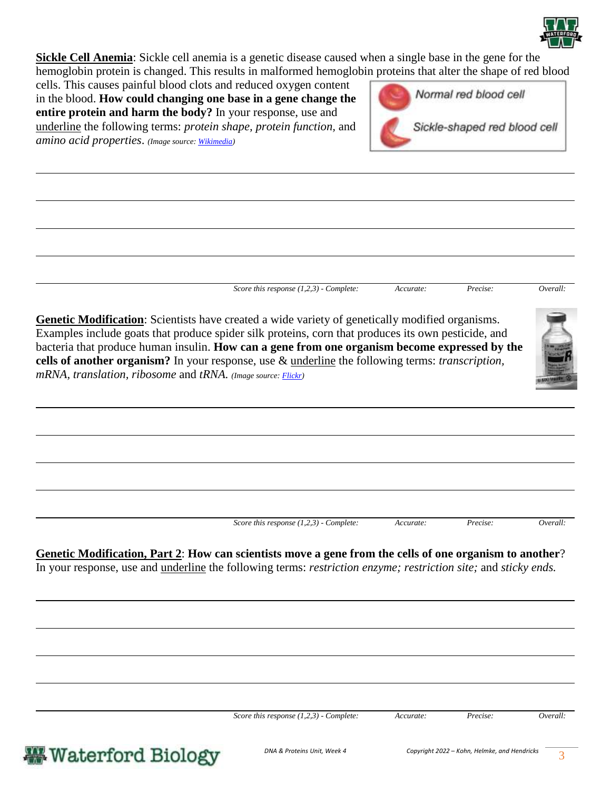

**Sickle Cell Anemia**: Sickle cell anemia is a genetic disease caused when a single base in the gene for the hemoglobin protein is changed. This results in malformed hemoglobin proteins that alter the shape of red blood

cells. This causes painful blood clots and reduced oxygen content in the blood. **How could changing one base in a gene change the entire protein and harm the body?** In your response, use and underline the following terms: *protein shape, protein function,* and *amino acid properties*. *(Image source[: Wikimedia\)](https://commons.wikimedia.org/wiki/File:Sickle_Cell_Anemia.png)*



*Score this response (1,2,3) - Complete: Accurate: Precise: Overall:* 

**Genetic Modification**: Scientists have created a wide variety of genetically modified organisms. Examples include goats that produce spider silk proteins, corn that produces its own pesticide, and bacteria that produce human insulin. **How can a gene from one organism become expressed by the cells of another organism?** In your response, use & underline the following terms: *transcription, mRNA, translation, ribosome* and *tRNA. (Image source[: Flickr\)](https://live.staticflickr.com/881/26253929847_c233a0f973_b.jpg)*



**Genetic Modification, Part 2**: **How can scientists move a gene from the cells of one organism to another**? In your response, use and underline the following terms: *restriction enzyme; restriction site;* and *sticky ends.*

*Score this response (1,2,3) - Complete: Accurate: Precise: Overall:*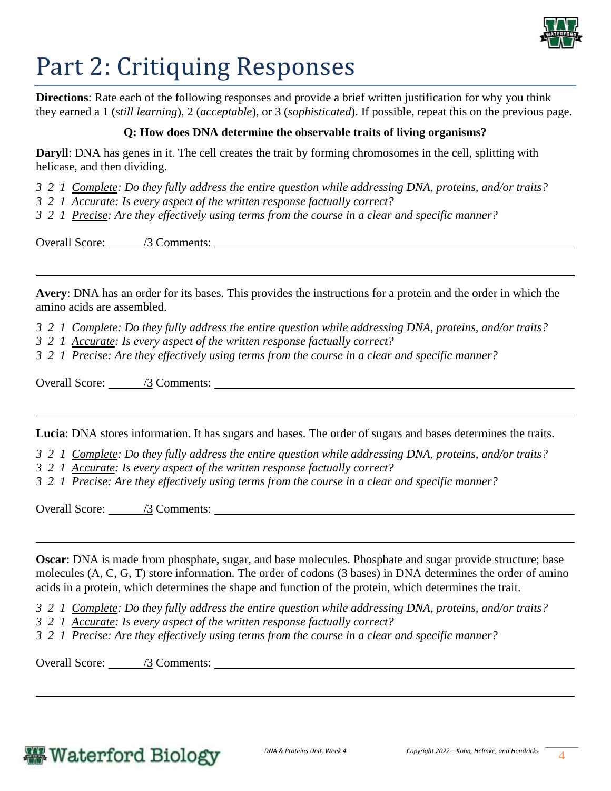

# Part 2: Critiquing Responses

**Directions**: Rate each of the following responses and provide a brief written justification for why you think they earned a 1 (*still learning*), 2 (*acceptable*), or 3 (*sophisticated*). If possible, repeat this on the previous page.

#### **Q: How does DNA determine the observable traits of living organisms?**

**Daryll**: DNA has genes in it. The cell creates the trait by forming chromosomes in the cell, splitting with helicase, and then dividing.

- *3 2 1 Complete: Do they fully address the entire question while addressing DNA, proteins, and/or traits?*
- *3 2 1 Accurate: Is every aspect of the written response factually correct?*
- *3 2 1 Precise: Are they effectively using terms from the course in a clear and specific manner?*

Overall Score: /3 Comments:

**Avery**: DNA has an order for its bases. This provides the instructions for a protein and the order in which the amino acids are assembled.

*3 2 1 Complete: Do they fully address the entire question while addressing DNA, proteins, and/or traits?* 

*3 2 1 Accurate: Is every aspect of the written response factually correct?*

*3 2 1 Precise: Are they effectively using terms from the course in a clear and specific manner?* 

Overall Score: /3 Comments:

**Lucia**: DNA stores information. It has sugars and bases. The order of sugars and bases determines the traits.

*3 2 1 Complete: Do they fully address the entire question while addressing DNA, proteins, and/or traits?* 

*3 2 1 Accurate: Is every aspect of the written response factually correct?*

*3 2 1 Precise: Are they effectively using terms from the course in a clear and specific manner?* 

Overall Score: /3 Comments:

**Oscar**: DNA is made from phosphate, sugar, and base molecules. Phosphate and sugar provide structure; base molecules (A, C, G, T) store information. The order of codons (3 bases) in DNA determines the order of amino acids in a protein, which determines the shape and function of the protein, which determines the trait.

*3 2 1 Complete: Do they fully address the entire question while addressing DNA, proteins, and/or traits?* 

- *3 2 1 Accurate: Is every aspect of the written response factually correct?*
- *3 2 1 Precise: Are they effectively using terms from the course in a clear and specific manner?*

Overall Score: /3 Comments:

# **Waterford Biology**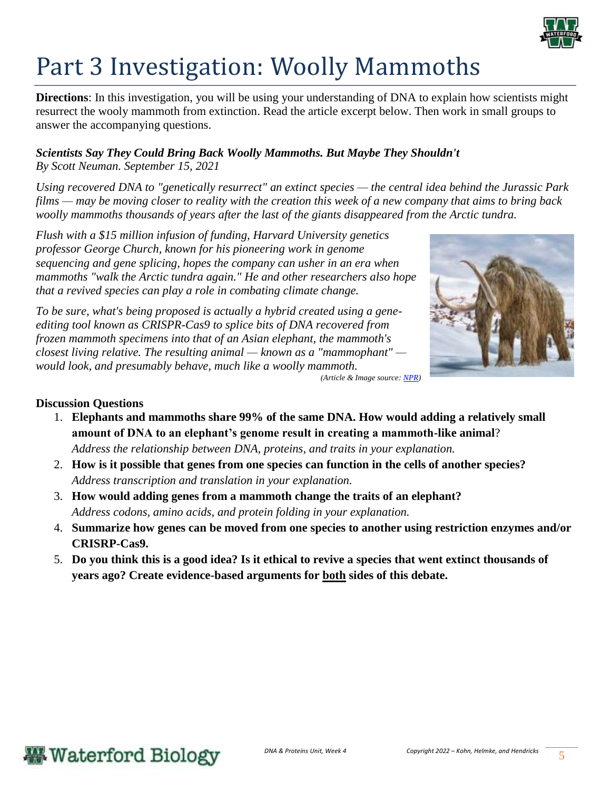

# Part 3 Investigation: Woolly Mammoths

**Directions**: In this investigation, you will be using your understanding of DNA to explain how scientists might resurrect the wooly mammoth from extinction. Read the article excerpt below. Then work in small groups to answer the accompanying questions.

### *Scientists Say They Could Bring Back Woolly Mammoths. But Maybe They Shouldn't By Scott Neuman. September 15, 2021*

*Using recovered DNA to "genetically resurrect" an extinct species — the central idea behind the Jurassic Park films — may be moving closer to reality with the creation this week of a new company that aims to bring back woolly mammoths thousands of years after the last of the giants disappeared from the Arctic tundra.*

*Flush with a \$15 million infusion of funding, Harvard University genetics professor George Church, known for his pioneering work in genome sequencing and gene splicing, hopes the company can usher in an era when mammoths "walk the Arctic tundra again." He and other researchers also hope that a revived species can play a role in combating climate change.*

*To be sure, what's being proposed is actually a hybrid created using a geneediting tool known as CRISPR-Cas9 to splice bits of DNA recovered from frozen mammoth specimens into that of an Asian elephant, the mammoth's closest living relative. The resulting animal — known as a "mammophant" would look, and presumably behave, much like a woolly mammoth.*



*(Article & Image source[: NPR\)](https://www.npr.org/2021/09/14/1036884561/dna-resurrection-jurassic-park-woolly-mammoth)*

### **Discussion Questions**

- 1. **Elephants and mammoths share 99% of the same DNA. How would adding a relatively small amount of DNA to an elephant's genome result in creating a mammoth-like animal**? *Address the relationship between DNA, proteins, and traits in your explanation.*
- 2. **How is it possible that genes from one species can function in the cells of another species?**  *Address transcription and translation in your explanation.*
- 3. **How would adding genes from a mammoth change the traits of an elephant?**  *Address codons, amino acids, and protein folding in your explanation.*
- 4. **Summarize how genes can be moved from one species to another using restriction enzymes and/or CRISRP-Cas9.**
- 5. **Do you think this is a good idea? Is it ethical to revive a species that went extinct thousands of years ago? Create evidence-based arguments for both sides of this debate.**